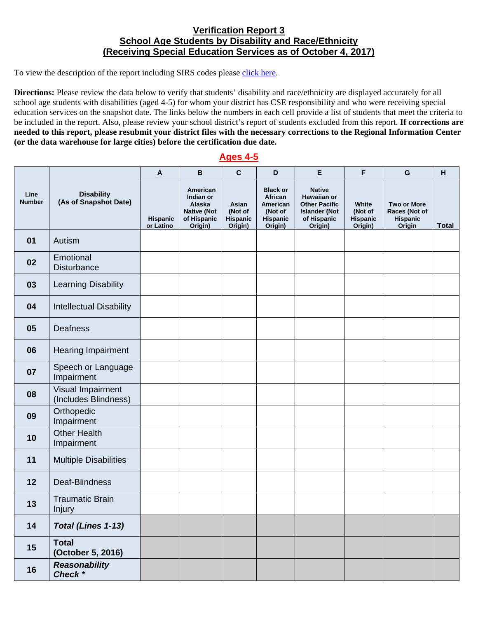## **Verification Report 3 School Age Students by Disability and Race/Ethnicity (Receiving Special Education Services as of October 4, 2017)**

To view the description of the report including SIRS codes please click here.

 **(or the data warehouse for large cities) before the certification due date. Directions:** Please review the data below to verify that students' disability and race/ethnicity are displayed accurately for all school age students with disabilities (aged 4-5) for whom your district has CSE responsibility and who were receiving special education services on the snapshot date. The links below the numbers in each cell provide a list of students that meet the criteria to be included in the report. Also, please review your school district's report of students excluded from this report. **If corrections are needed to this report, please resubmit your district files with the necessary corrections to the Regional Information Center** 

## **Ages 4-5**

|                       |                                            | A                     | $\, {\bf B}$                                                                    | $\mathbf{C}$                            | D                                                                        | E                                                                                                      | F                                              | G                                                                | H            |
|-----------------------|--------------------------------------------|-----------------------|---------------------------------------------------------------------------------|-----------------------------------------|--------------------------------------------------------------------------|--------------------------------------------------------------------------------------------------------|------------------------------------------------|------------------------------------------------------------------|--------------|
| Line<br><b>Number</b> | <b>Disability</b><br>(As of Snapshot Date) | Hispanic<br>or Latino | American<br>Indian or<br>Alaska<br><b>Native (Not</b><br>of Hispanic<br>Origin) | Asian<br>(Not of<br>Hispanic<br>Origin) | <b>Black or</b><br>African<br>American<br>(Not of<br>Hispanic<br>Origin) | <b>Native</b><br>Hawaiian or<br><b>Other Pacific</b><br><b>Islander (Not</b><br>of Hispanic<br>Origin) | White<br>(Not of<br><b>Hispanic</b><br>Origin) | <b>Two or More</b><br>Races (Not of<br><b>Hispanic</b><br>Origin | <b>Total</b> |
| 01                    | Autism                                     |                       |                                                                                 |                                         |                                                                          |                                                                                                        |                                                |                                                                  |              |
| 02                    | Emotional<br><b>Disturbance</b>            |                       |                                                                                 |                                         |                                                                          |                                                                                                        |                                                |                                                                  |              |
| 03                    | <b>Learning Disability</b>                 |                       |                                                                                 |                                         |                                                                          |                                                                                                        |                                                |                                                                  |              |
| 04                    | <b>Intellectual Disability</b>             |                       |                                                                                 |                                         |                                                                          |                                                                                                        |                                                |                                                                  |              |
| 05                    | <b>Deafness</b>                            |                       |                                                                                 |                                         |                                                                          |                                                                                                        |                                                |                                                                  |              |
| 06                    | <b>Hearing Impairment</b>                  |                       |                                                                                 |                                         |                                                                          |                                                                                                        |                                                |                                                                  |              |
| 07                    | Speech or Language<br>Impairment           |                       |                                                                                 |                                         |                                                                          |                                                                                                        |                                                |                                                                  |              |
| 08                    | Visual Impairment<br>(Includes Blindness)  |                       |                                                                                 |                                         |                                                                          |                                                                                                        |                                                |                                                                  |              |
| 09                    | Orthopedic<br>Impairment                   |                       |                                                                                 |                                         |                                                                          |                                                                                                        |                                                |                                                                  |              |
| 10                    | <b>Other Health</b><br>Impairment          |                       |                                                                                 |                                         |                                                                          |                                                                                                        |                                                |                                                                  |              |
| 11                    | <b>Multiple Disabilities</b>               |                       |                                                                                 |                                         |                                                                          |                                                                                                        |                                                |                                                                  |              |
| 12                    | Deaf-Blindness                             |                       |                                                                                 |                                         |                                                                          |                                                                                                        |                                                |                                                                  |              |
| 13                    | <b>Traumatic Brain</b><br><b>Injury</b>    |                       |                                                                                 |                                         |                                                                          |                                                                                                        |                                                |                                                                  |              |
| 14                    | Total (Lines 1-13)                         |                       |                                                                                 |                                         |                                                                          |                                                                                                        |                                                |                                                                  |              |
| 15                    | <b>Total</b><br>(October 5, 2016)          |                       |                                                                                 |                                         |                                                                          |                                                                                                        |                                                |                                                                  |              |
| 16                    | <b>Reasonability</b><br>Check *            |                       |                                                                                 |                                         |                                                                          |                                                                                                        |                                                |                                                                  |              |